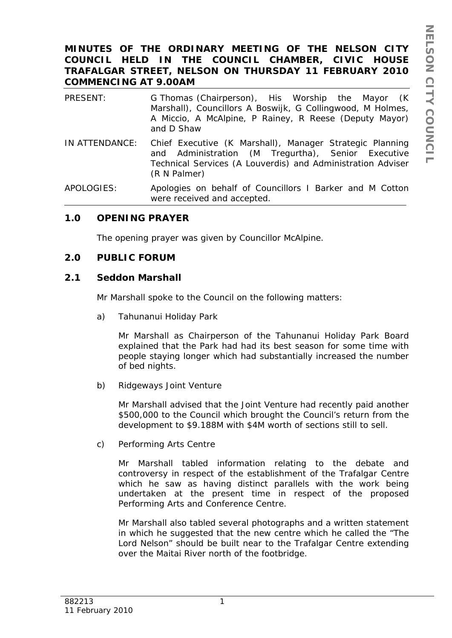## **MINUTES OF THE ORDINARY MEETING OF THE NELSON CITY COUNCIL HELD IN THE COUNCIL CHAMBER, CIVIC HOUSE TRAFALGAR STREET, NELSON ON THURSDAY 11 FEBRUARY 2010 COMMENCING AT 9.00AM**

| PRESENT:       | G Thomas (Chairperson), His Worship the Mayor (K)<br>Marshall), Councillors A Boswijk, G Collingwood, M Holmes,<br>A Miccio, A McAlpine, P Rainey, R Reese (Deputy Mayor)<br>and D Shaw       |
|----------------|-----------------------------------------------------------------------------------------------------------------------------------------------------------------------------------------------|
| IN ATTENDANCE: | Chief Executive (K Marshall), Manager Strategic Planning<br>and Administration (M Tregurtha), Senior Executive<br>Technical Services (A Louverdis) and Administration Adviser<br>(R N Palmer) |
| APOLOGIES:     | Apologies on behalf of Councillors I Barker and M Cotton                                                                                                                                      |

### **1.0 OPENING PRAYER**

The opening prayer was given by Councillor McAlpine.

were received and accepted.

#### **2.0 PUBLIC FORUM**

#### **2.1 Seddon Marshall**

Mr Marshall spoke to the Council on the following matters:

a) Tahunanui Holiday Park

Mr Marshall as Chairperson of the Tahunanui Holiday Park Board explained that the Park had had its best season for some time with people staying longer which had substantially increased the number of bed nights.

b) Ridgeways Joint Venture

Mr Marshall advised that the Joint Venture had recently paid another \$500,000 to the Council which brought the Council's return from the development to \$9.188M with \$4M worth of sections still to sell.

c) Performing Arts Centre

Mr Marshall tabled information relating to the debate and controversy in respect of the establishment of the Trafalgar Centre which he saw as having distinct parallels with the work being undertaken at the present time in respect of the proposed Performing Arts and Conference Centre.

Mr Marshall also tabled several photographs and a written statement in which he suggested that the new centre which he called the "The Lord Nelson" should be built near to the Trafalgar Centre extending over the Maitai River north of the footbridge.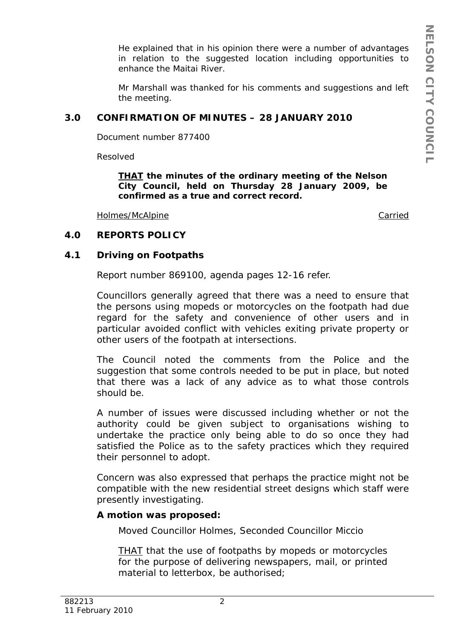He explained that in his opinion there were a number of advantages in relation to the suggested location including opportunities to enhance the Maitai River.

Mr Marshall was thanked for his comments and suggestions and left the meeting.

# **3.0 CONFIRMATION OF MINUTES – 28 JANUARY 2010**

Document number 877400

Resolved

*THAT the minutes of the ordinary meeting of the Nelson City Council, held on Thursday 28 January 2009, be confirmed as a true and correct record.* 

Holmes/McAlpine Carried

## **4.0 REPORTS POLICY**

## **4.1 Driving on Footpaths**

Report number 869100, agenda pages 12-16 refer.

Councillors generally agreed that there was a need to ensure that the persons using mopeds or motorcycles on the footpath had due regard for the safety and convenience of other users and in particular avoided conflict with vehicles exiting private property or other users of the footpath at intersections.

The Council noted the comments from the Police and the suggestion that some controls needed to be put in place, but noted that there was a lack of any advice as to what those controls should be.

A number of issues were discussed including whether or not the authority could be given subject to organisations wishing to undertake the practice only being able to do so once they had satisfied the Police as to the safety practices which they required their personnel to adopt.

Concern was also expressed that perhaps the practice might not be compatible with the new residential street designs which staff were presently investigating.

## **A motion was proposed:**

Moved Councillor Holmes, Seconded Councillor Miccio

*THAT that the use of footpaths by mopeds or motorcycles*  for the purpose of delivering newspapers, mail, or printed *material to letterbox, be authorised;*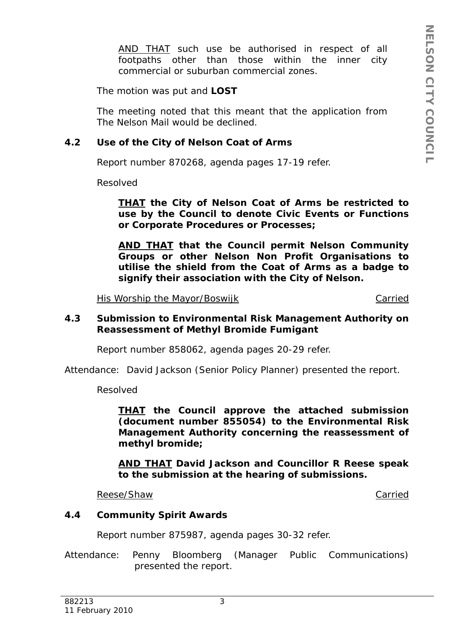*AND THAT such use be authorised in respect of all footpaths other than those within the inner city commercial or suburban commercial zones.*

The motion was put and **LOST**

The meeting noted that this meant that the application from The Nelson Mail would be declined.

## **4.2 Use of the City of Nelson Coat of Arms**

Report number 870268, agenda pages 17-19 refer.

Resolved

*THAT the City of Nelson Coat of Arms be restricted to use by the Council to denote Civic Events or Functions or Corporate Procedures or Processes;* 

*AND THAT that the Council permit Nelson Community Groups or other Nelson Non Profit Organisations to utilise the shield from the Coat of Arms as a badge to signify their association with the City of Nelson.* 

His Worship the Mayor/Boswijk Carried

### **4.3 Submission to Environmental Risk Management Authority on Reassessment of Methyl Bromide Fumigant**

Report number 858062, agenda pages 20-29 refer.

Attendance: David Jackson (Senior Policy Planner) presented the report.

Resolved

*THAT the Council approve the attached submission (document number 855054) to the Environmental Risk Management Authority concerning the reassessment of methyl bromide;* 

*AND THAT David Jackson and Councillor R Reese speak to the submission at the hearing of submissions.* 

Reese/Shaw Carried Carried Carried Carried Carried Carried Carried Carried Carried Carried Carried Carried Carried Carried Carried Carried Carried Carried Carried Carried Carried Carried Carried Carried Carried Carried Car

#### **4.4 Community Spirit Awards**

Report number 875987, agenda pages 30-32 refer.

Attendance: Penny Bloomberg (Manager Public Communications) presented the report.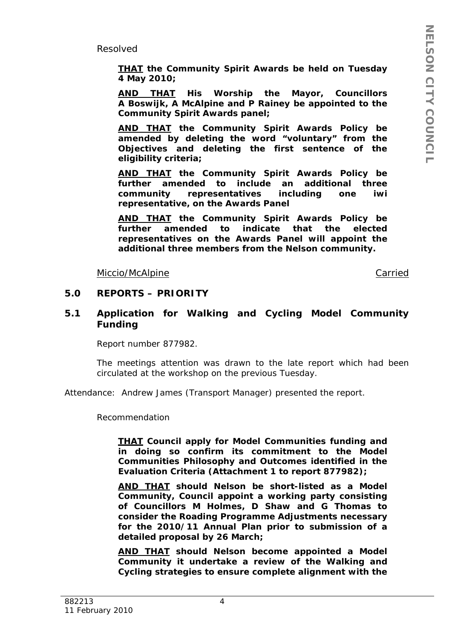Resolved

*THAT the Community Spirit Awards be held on Tuesday 4 May 2010;*

*AND THAT His Worship the Mayor, Councillors A Boswijk, A McAlpine and P Rainey be appointed to the Community Spirit Awards panel;* 

*AND THAT the Community Spirit Awards Policy be amended by deleting the word "voluntary" from the Objectives and deleting the first sentence of the eligibility criteria;* 

*AND THAT the Community Spirit Awards Policy be further amended to include an additional three community representatives including one iwi representative, on the Awards Panel* 

*AND THAT the Community Spirit Awards Policy be further amended to indicate that the elected representatives on the Awards Panel will appoint the additional three members from the Nelson community.* 

Miccio/McAlpine Carried

#### **5.0 REPORTS – PRIORITY**

#### **5.1 Application for Walking and Cycling Model Community Funding**

Report number 877982.

The meetings attention was drawn to the late report which had been circulated at the workshop on the previous Tuesday.

Attendance: Andrew James (Transport Manager) presented the report.

Recommendation

*THAT Council apply for Model Communities funding and in doing so confirm its commitment to the Model Communities Philosophy and Outcomes identified in the Evaluation Criteria (Attachment 1 to report 877982);*

*AND THAT should Nelson be short-listed as a Model Community, Council appoint a working party consisting of Councillors M Holmes, D Shaw and G Thomas to consider the Roading Programme Adjustments necessary for the 2010/11 Annual Plan prior to submission of a detailed proposal by 26 March;* 

*AND THAT should Nelson become appointed a Model Community it undertake a review of the Walking and Cycling strategies to ensure complete alignment with the*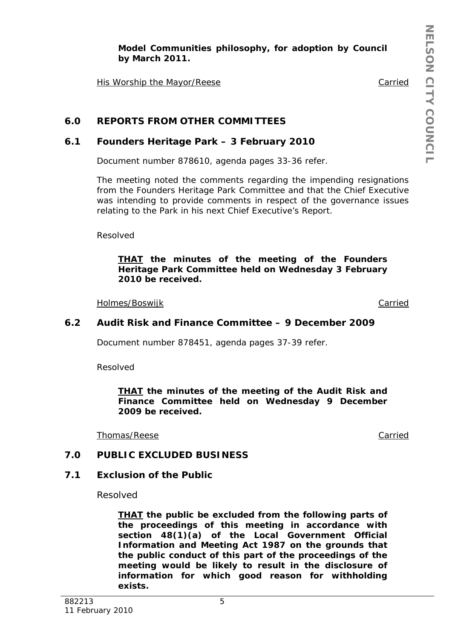*Model Communities philosophy, for adoption by Council by March 2011.* 

His Worship the Mayor/Reese The Carried Carried

# **6.0 REPORTS FROM OTHER COMMITTEES**

### **6.1 Founders Heritage Park – 3 February 2010**

Document number 878610, agenda pages 33-36 refer.

The meeting noted the comments regarding the impending resignations from the Founders Heritage Park Committee and that the Chief Executive was intending to provide comments in respect of the governance issues relating to the Park in his next Chief Executive's Report.

Resolved

*THAT the minutes of the meeting of the Founders Heritage Park Committee held on Wednesday 3 February 2010 be received.*

Holmes/Boswijk Carried

### **6.2 Audit Risk and Finance Committee – 9 December 2009**

Document number 878451, agenda pages 37-39 refer.

Resolved

*THAT the minutes of the meeting of the Audit Risk and Finance Committee held on Wednesday 9 December 2009 be received.*

Thomas/Reese Carried

#### **7.0 PUBLIC EXCLUDED BUSINESS**

#### **7.1 Exclusion of the Public**

Resolved

*THAT the public be excluded from the following parts of the proceedings of this meeting in accordance with section 48(1)(a) of the Local Government Official Information and Meeting Act 1987 on the grounds that the public conduct of this part of the proceedings of the meeting would be likely to result in the disclosure of information for which good reason for withholding exists.*